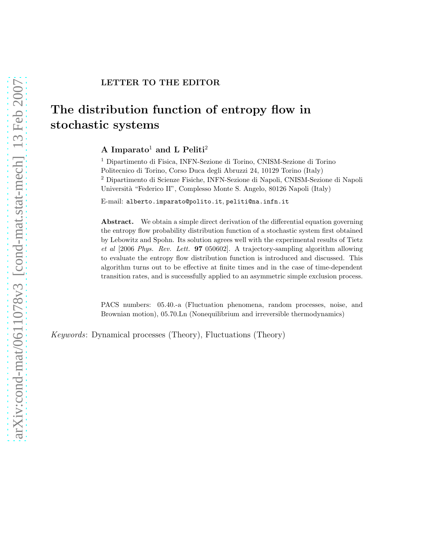## The distribution function of entropy flow in stochastic systems

A Imparato<sup>1</sup> and L Peliti<sup>2</sup>

<sup>1</sup> Dipartimento di Fisica, INFN-Sezione di Torino, CNISM-Sezione di Torino Politecnico di Torino, Corso Duca degli Abruzzi 24, 10129 Torino (Italy) <sup>2</sup> Dipartimento di Scienze Fisiche, INFN-Sezione di Napoli, CNISM-Sezione di Napoli Universit`a "Federico II", Complesso Monte S. Angelo, 80126 Napoli (Italy)

E-mail: alberto.imparato@polito.it, peliti@na.infn.it

Abstract. We obtain a simple direct derivation of the differential equation governing the entropy flow probability distribution function of a stochastic system first obtained by Lebowitz and Spohn. Its solution agrees well with the experimental results of Tietz et al [2006 Phys. Rev. Lett. 97 050602]. A trajectory-sampling algorithm allowing to evaluate the entropy flow distribution function is introduced and discussed. This algorithm turns out to be effective at finite times and in the case of time-dependent transition rates, and is successfully applied to an asymmetric simple exclusion process.

PACS numbers: 05.40.-a (Fluctuation phenomena, random processes, noise, and Brownian motion), 05.70.Ln (Nonequilibrium and irreversible thermodynamics)

Keywords: Dynamical processes (Theory), Fluctuations (Theory)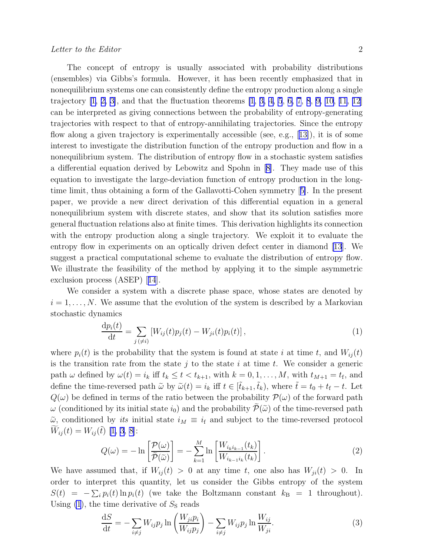<span id="page-1-0"></span>The concept of entropy is usually associated with probability distributions (ensembles) via Gibbs's formula. However, it has been recently emphasized that in nonequilibrium systems one can consistently define the entropy production along a single trajectory  $[1, 2, 3]$  $[1, 2, 3]$ , and that the fluctuation theorems  $[1, 3, 4, 5, 6, 7, 8, 9, 10, 11, 12]$  $[1, 3, 4, 5, 6, 7, 8, 9, 10, 11, 12]$  $[1, 3, 4, 5, 6, 7, 8, 9, 10, 11, 12]$  $[1, 3, 4, 5, 6, 7, 8, 9, 10, 11, 12]$  $[1, 3, 4, 5, 6, 7, 8, 9, 10, 11, 12]$  $[1, 3, 4, 5, 6, 7, 8, 9, 10, 11, 12]$  $[1, 3, 4, 5, 6, 7, 8, 9, 10, 11, 12]$  $[1, 3, 4, 5, 6, 7, 8, 9, 10, 11, 12]$  $[1, 3, 4, 5, 6, 7, 8, 9, 10, 11, 12]$  $[1, 3, 4, 5, 6, 7, 8, 9, 10, 11, 12]$  $[1, 3, 4, 5, 6, 7, 8, 9, 10, 11, 12]$  $[1, 3, 4, 5, 6, 7, 8, 9, 10, 11, 12]$  $[1, 3, 4, 5, 6, 7, 8, 9, 10, 11, 12]$ can be interpreted as giving connections between the probability of entropy-generating trajectories with respect to that of entropy-annihilating trajectories. Since the entropy flowalong a given trajectory is experimentally accessible (see, e.g., [[13\]](#page-9-0)), it is of some interest to investigate the distribution function of the entropy production and flow in a nonequilibrium system. The distribution of entropy flow in a stochastic system satisfies a differential equation derived by Lebowitz and Spohn in [\[8\]](#page-8-0). They made use of this equation to investigate the large-deviation function of entropy production in the longtime limit, thus obtaining a form of the Gallavotti-Cohen symmetry[[5\]](#page-8-0). In the present paper, we provide a new direct derivation of this differential equation in a general nonequilibrium system with discrete states, and show that its solution satisfies more general fluctuation relations also at finite times. This derivation highlights its connection with the entropy production along a single trajectory. We exploit it to evaluate the entropy flow in experiments on an optically driven defect center in diamond [\[13\]](#page-9-0). We suggest a practical computational scheme to evaluate the distribution of entropy flow. We illustrate the feasibility of the method by applying it to the simple asymmetric exclusionprocess (ASEP) [[14](#page-9-0)].

We consider a system with a discrete phase space, whose states are denoted by  $i = 1, \ldots, N$ . We assume that the evolution of the system is described by a Markovian stochastic dynamics

$$
\frac{dp_i(t)}{dt} = \sum_{j \, (\neq i)} \left[ W_{ij}(t)p_j(t) - W_{ji}(t)p_i(t) \right],\tag{1}
$$

where  $p_i(t)$  is the probability that the system is found at state i at time t, and  $W_{ij}(t)$ is the transition rate from the state  $j$  to the state  $i$  at time  $t$ . We consider a generic path  $\omega$  defined by  $\omega(t) = i_k$  iff  $t_k \le t < t_{k+1}$ , with  $k = 0, 1, \ldots, M$ , with  $t_{M+1} = t_f$ , and define the time-reversed path  $\tilde{\omega}$  by  $\tilde{\omega}(t) = i_k$  iff  $t \in [\tilde{t}_{k+1}, \tilde{t}_k)$ , where  $\tilde{t} = t_0 + t_f - t$ . Let  $Q(\omega)$  be defined in terms of the ratio between the probability  $\mathcal{P}(\omega)$  of the forward path ω (conditioned by its initial state  $i_0$ ) and the probability  $\mathcal{P}(\tilde{\omega})$  of the time-reversed path  $\tilde{\omega}$ , conditioned by *its* initial state  $i_M \equiv i_f$  and subject to the time-reversed protocol  $W_{ij}(t) = W_{ij}(\tilde{t})$  [\[1](#page-8-0), [3, 8](#page-8-0)]:

$$
Q(\omega) = -\ln\left[\frac{\mathcal{P}(\omega)}{\widetilde{\mathcal{P}}(\widetilde{\omega})}\right] = -\sum_{k=1}^{M} \ln\left[\frac{W_{i_k i_{k-1}}(t_k)}{W_{i_{k-1} i_k}(t_k)}\right].
$$
\n(2)

We have assumed that, if  $W_{ii}(t) > 0$  at any time t, one also has  $W_{ii}(t) > 0$ . In order to interpret this quantity, let us consider the Gibbs entropy of the system  $S(t) = -\sum_i p_i(t) \ln p_i(t)$  (we take the Boltzmann constant  $k_B = 1$  throughout). Using  $(1)$ , the time derivative of  $S<sub>S</sub>$  reads

$$
\frac{\mathrm{d}S}{\mathrm{d}t} = -\sum_{i \neq j} W_{ij} p_j \ln \left( \frac{W_{ji} p_i}{W_{ij} p_j} \right) - \sum_{i \neq j} W_{ij} p_j \ln \frac{W_{ij}}{W_{ji}}.
$$
\n(3)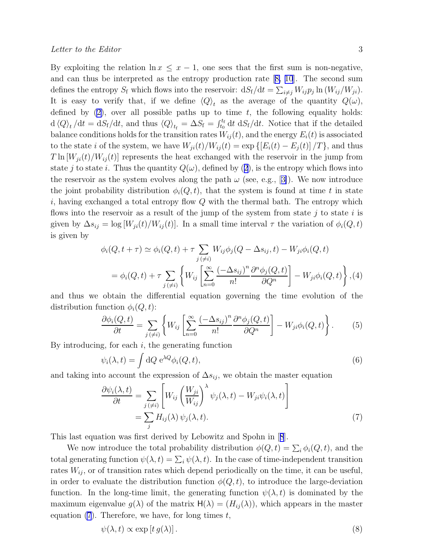<span id="page-2-0"></span>By exploiting the relation  $\ln x \leq x - 1$ , one sees that the first sum is non-negative, and can thus be interpreted as the entropy production rate[[8, 10](#page-8-0)]. The second sum defines the entropy  $S_f$  which flows into the reservoir:  $dS_f/dt = \sum_{i \neq j} W_{ij} p_j \ln(W_{ij}/W_{ji})$ . It is easy to verify that, if we define  $\langle Q \rangle_t$  as the average of the quantity  $Q(\omega)$ , definedby  $(2)$  $(2)$ , over all possible paths up to time t, the following equality holds:  $d \langle Q \rangle_t / dt = dS_f/dt$ , and thus  $\langle Q \rangle_{t_f} = \Delta S_f = \int_{t_0}^{t_f} dt \ dS_f/dt$ . Notice that if the detailed balance conditions holds for the transition rates  $W_{ij}(t)$ , and the energy  $E_i(t)$  is associated to the state i of the system, we have  $W_{ji}(t)/W_{ij}(t) = \exp \left\{ \left[E_i(t) - E_j(t)\right]/T\right\}$ , and thus  $T \ln [W_{ji}(t)/W_{ij}(t)]$  represents the heat exchanged with the reservoir in the jump from statej to state i. Thus the quantity  $Q(\omega)$ , defined by ([2](#page-1-0)), is the entropy which flows into thereservoir as the system evolves along the path  $\omega$  (see, e.g., [[3\]](#page-8-0)). We now introduce the joint probability distribution  $\phi_i(Q, t)$ , that the system is found at time t in state i, having exchanged a total entropy flow  $Q$  with the thermal bath. The entropy which flows into the reservoir as a result of the jump of the system from state  $i$  to state i is given by  $\Delta s_{ij} = \log[W_{ji}(t)/W_{ij}(t)]$ . In a small time interval  $\tau$  the variation of  $\phi_i(Q, t)$ is given by

$$
\phi_i(Q, t + \tau) \simeq \phi_i(Q, t) + \tau \sum_{j (\neq i)} W_{ij} \phi_j(Q - \Delta s_{ij}, t) - W_{ji} \phi_i(Q, t)
$$
  
= 
$$
\phi_i(Q, t) + \tau \sum_{j (\neq i)} \left\{ W_{ij} \left[ \sum_{n=0}^{\infty} \frac{(-\Delta s_{ij})^n}{n!} \frac{\partial^n \phi_j(Q, t)}{\partial Q^n} \right] - W_{ji} \phi_i(Q, t) \right\}, (4)
$$

and thus we obtain the differential equation governing the time evolution of the distribution function  $\phi_i(Q, t)$ :

$$
\frac{\partial \phi_i(Q,t)}{\partial t} = \sum_{j(\neq i)} \left\{ W_{ij} \left[ \sum_{n=0}^{\infty} \frac{(-\Delta s_{ij})^n}{n!} \frac{\partial^n \phi_j(Q,t)}{\partial Q^n} \right] - W_{ji} \phi_i(Q,t) \right\}.
$$
 (5)

By introducing, for each  $i$ , the generating function

$$
\psi_i(\lambda, t) = \int dQ \, e^{\lambda Q} \phi_i(Q, t), \tag{6}
$$

and taking into account the expression of  $\Delta s_{ij}$ , we obtain the master equation

$$
\frac{\partial \psi_i(\lambda, t)}{\partial t} = \sum_{j (\neq i)} \left[ W_{ij} \left( \frac{W_{ji}}{W_{ij}} \right)^{\lambda} \psi_j(\lambda, t) - W_{ji} \psi_i(\lambda, t) \right]
$$

$$
= \sum_j H_{ij}(\lambda) \psi_j(\lambda, t).
$$
(7)

This last equation was first derived by Lebowitz and Spohn in[[8](#page-8-0)].

We now introduce the total probability distribution  $\phi(Q, t) = \sum_i \phi_i(Q, t)$ , and the total generating function  $\psi(\lambda, t) = \sum_i \psi(\lambda, t)$ . In the case of time-independent transition rates  $W_{ij}$ , or of transition rates which depend periodically on the time, it can be useful, in order to evaluate the distribution function  $\phi(Q, t)$ , to introduce the large-deviation function. In the long-time limit, the generating function  $\psi(\lambda, t)$  is dominated by the maximum eigenvalue  $g(\lambda)$  of the matrix  $H(\lambda) = (H_{ij}(\lambda))$ , which appears in the master equation  $(7)$ . Therefore, we have, for long times t,

$$
\psi(\lambda, t) \propto \exp\left[t \, g(\lambda)\right].\tag{8}
$$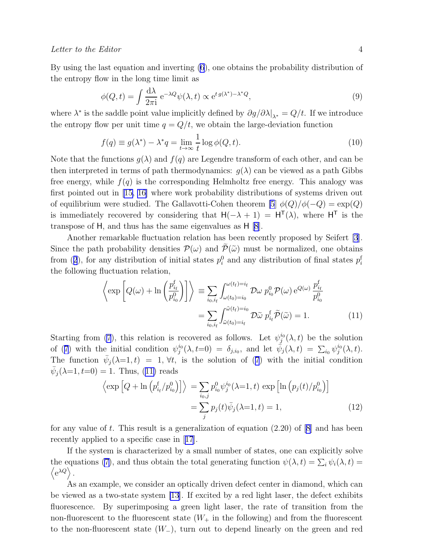<span id="page-3-0"></span>By using the last equation and inverting [\(6](#page-2-0)), one obtains the probability distribution of the entropy flow in the long time limit as

$$
\phi(Q,t) = \int \frac{d\lambda}{2\pi i} e^{-\lambda Q} \psi(\lambda, t) \propto e^{t g(\lambda^*) - \lambda^* Q},\tag{9}
$$

where  $\lambda^*$  is the saddle point value implicitly defined by  $\partial g/\partial \lambda|_{\lambda^*} = Q/t$ . If we introduce the entropy flow per unit time  $q = Q/t$ , we obtain the large-deviation function

$$
f(q) \equiv g(\lambda^*) - \lambda^* q = \lim_{t \to \infty} \frac{1}{t} \log \phi(Q, t).
$$
 (10)

Note that the functions  $g(\lambda)$  and  $f(q)$  are Legendre transform of each other, and can be then interpreted in terms of path thermodynamics:  $g(\lambda)$  can be viewed as a path Gibbs free energy, while  $f(q)$  is the corresponding Helmholtz free energy. This analogy was first pointed out in[[15, 16\]](#page-9-0) where work probability distributions of systems driven out of equilibrium were studied. The Gallavotti-Cohen theorem [\[5](#page-8-0)]  $\phi(Q)/\phi(-Q) = \exp(Q)$ is immediately recovered by considering that  $H(-\lambda + 1) = H^{T}(\lambda)$ , where  $H^{T}$  is the transpose of H, and thus has the same eigenvalues as H [\[8](#page-8-0)].

Another remarkable fluctuation relation has been recently proposed by Seifert [\[3](#page-8-0)]. Since the path probability densities  $\mathcal{P}(\omega)$  and  $\mathcal{P}(\tilde{\omega})$  must be normalized, one obtains from([2](#page-1-0)), for any distribution of initial states  $p_i^0$  and any distribution of final states  $p_i^f$ the following fluctuation relation,

$$
\left\langle \exp \left[ Q(\omega) + \ln \left( \frac{p_{i_f}^{\mathrm{f}}}{p_{i_0}^0} \right) \right] \right\rangle \equiv \sum_{i_0, i_f} \int_{\omega(t_0) = i_0}^{\omega(t_f) = i_f} \mathcal{D}\omega \ p_{i_0}^0 \mathcal{P}(\omega) e^{Q(\omega)} \frac{p_{i_f}^{\mathrm{f}}}{p_{i_0}^0} \n= \sum_{i_0, i_f} \int_{\tilde{\omega}(t_0) = i_f}^{\tilde{\omega}(t_f) = i_0} \mathcal{D}\tilde{\omega} \ p_{i_f}^{\mathrm{f}} \tilde{\mathcal{P}}(\tilde{\omega}) = 1.
$$
\n(11)

Starting from [\(7](#page-2-0)), this relation is recovered as follows. Let  $\psi_j^{i_0}(\lambda, t)$  be the solution of([7](#page-2-0)) with the initial condition  $\psi_j^{i_0}(\lambda, t=0) = \delta_{j,i_0}$ , and let  $\bar{\psi}_j(\lambda, t) = \sum_{i_0} \psi_j^{i_0}(\lambda, t)$ . Thefunction  $\bar{\psi}_j(\lambda=1,t) = 1, \forall t$ , is the solution of ([7](#page-2-0)) with the initial condition  $\bar{\psi}_j(\lambda=1, t=0) = 1$ . Thus, (11) reads

$$
\left\langle \exp\left[Q + \ln\left(p_{i_{\rm f}}^{\rm f}/p_{i_{0}}^{\rm 0}\right)\right] \right\rangle = \sum_{i_{0},j} p_{i_{0}}^{\rm 0} \psi_{j}^{i_{0}}(\lambda=1,t) \exp\left[\ln\left(p_{j}(t)/p_{i_{0}}^{\rm 0}\right)\right]
$$

$$
= \sum_{j} p_{j}(t)\bar{\psi}_{j}(\lambda=1,t) = 1, \tag{12}
$$

for any value of t. This result is a generalization of equation  $(2.20)$  of  $[8]$  and has been recently applied to a specific case in[[17](#page-9-0)].

If the system is characterized by a small number of states, one can explicitly solve the equations [\(7](#page-2-0)), and thus obtain the total generating function  $\psi(\lambda, t) = \sum_i \psi_i(\lambda, t) =$  $\langle e^{\lambda Q} \rangle$ .

As an example, we consider an optically driven defect center in diamond, which can be viewed as a two-state system [\[13\]](#page-9-0). If excited by a red light laser, the defect exhibits fluorescence. By superimposing a green light laser, the rate of transition from the non-fluorescent to the fluorescent state  $(W_{+}$  in the following) and from the fluorescent to the non-fluorescent state  $(W_$ ), turn out to depend linearly on the green and red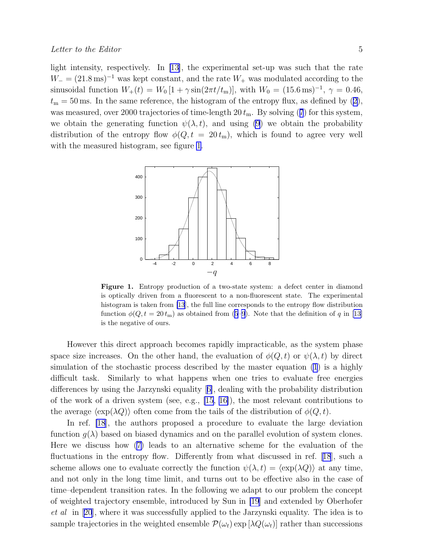light intensity, respectively. In [\[13\]](#page-9-0), the experimental set-up was such that the rate  $W_$  = (21.8 ms)<sup>-1</sup> was kept constant, and the rate  $W_+$  was modulated according to the sinusoidal function  $W_+(t) = W_0[1 + \gamma \sin(2\pi t/t_m)],$  with  $W_0 = (15.6 \,\text{ms})^{-1}, \gamma = 0.46,$  $t_{\rm m} = 50\,{\rm ms}.$  In the same reference, the histogram of the entropy flux, as defined by [\(2\)](#page-1-0), wasmeasured, over 2000 trajectories of time-length  $20 t<sub>m</sub>$ . By solving ([7](#page-2-0)) for this system, we obtain the generating function  $\psi(\lambda, t)$ , and using [\(9](#page-3-0)) we obtain the probability distribution of the entropy flow  $\phi(Q, t = 20 t_m)$ , which is found to agree very well with the measured histogram, see figure 1.



Figure 1. Entropy production of a two-state system: a defect center in diamond is optically driven from a fluorescent to a non-fluorescent state. The experimental histogram is taken from [\[13](#page-9-0)], the full line corresponds to the entropy flow distribution function $\phi(Q, t = 20 t_m)$  as obtained from [\(5](#page-2-0)[–9](#page-3-0)). Note that the definition of q in [[13\]](#page-9-0) is the negative of ours.

However this direct approach becomes rapidly impracticable, as the system phase space size increases. On the other hand, the evaluation of  $\phi(Q, t)$  or  $\psi(\lambda, t)$  by direct simulation of the stochastic process described by the master equation [\(1](#page-1-0)) is a highly difficult task. Similarly to what happens when one tries to evaluate free energies differences by using the Jarzynski equality[[6\]](#page-8-0), dealing with the probability distribution of the work of a driven system (see, e.g.,  $[15, 16]$  $[15, 16]$ ), the most relevant contributions to the average  $\langle \exp(\lambda Q) \rangle$  often come from the tails of the distribution of  $\phi(Q, t)$ .

In ref. [\[18](#page-9-0)], the authors proposed a procedure to evaluate the large deviation function  $g(\lambda)$  based on biased dynamics and on the parallel evolution of system clones. Here we discuss how([7\)](#page-2-0) leads to an alternative scheme for the evaluation of the fluctuations in the entropy flow. Differently from what discussed in ref.[[18](#page-9-0)], such a scheme allows one to evaluate correctly the function  $\psi(\lambda, t) = \langle \exp(\lambda Q) \rangle$  at any time, and not only in the long time limit, and turns out to be effective also in the case of time–dependent transition rates. In the following we adapt to our problem the concept of weighted trajectory ensemble, introduced by Sun in [\[19](#page-9-0)] and extended by Oberhofer et al in[[20](#page-9-0)], where it was successfully applied to the Jarzynski equality. The idea is to sample trajectories in the weighted ensemble  $\mathcal{P}(\omega_t)$  exp  $[\lambda Q(\omega_t)]$  rather than successions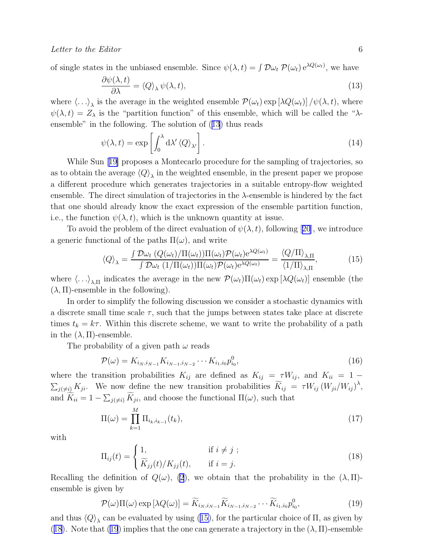<span id="page-5-0"></span>of single states in the unbiased ensemble. Since  $\psi(\lambda, t) = \int \mathcal{D}\omega_t \, \mathcal{P}(\omega_t) e^{\lambda Q(\omega_t)}$ , we have

$$
\frac{\partial \psi(\lambda, t)}{\partial \lambda} = \langle Q \rangle_{\lambda} \psi(\lambda, t), \tag{13}
$$

where  $\langle \ldots \rangle_{\lambda}$  is the average in the weighted ensemble  $\mathcal{P}(\omega_t)$  exp  $[\lambda Q(\omega_t)] / \psi(\lambda, t)$ , where  $\psi(\lambda, t) = Z_{\lambda}$  is the "partition function" of this ensemble, which will be called the " $\lambda$ ensemble" in the following. The solution of (13) thus reads

$$
\psi(\lambda, t) = \exp\left[\int_0^{\lambda} d\lambda' \langle Q \rangle_{\lambda'}\right].
$$
\n(14)

While Sun[[19\]](#page-9-0) proposes a Montecarlo procedure for the sampling of trajectories, so as to obtain the average  $\langle Q \rangle_{\lambda}$  in the weighted ensemble, in the present paper we propose a different procedure which generates trajectories in a suitable entropy-flow weighted ensemble. The direct simulation of trajectories in the  $\lambda$ -ensemble is hindered by the fact that one should already know the exact expression of the ensemble partition function, i.e., the function  $\psi(\lambda, t)$ , which is the unknown quantity at issue.

Toavoid the problem of the direct evaluation of  $\psi(\lambda, t)$ , following [[20](#page-9-0)], we introduce a generic functional of the paths  $\Pi(\omega)$ , and write

$$
\langle Q \rangle_{\lambda} = \frac{\int \mathcal{D}\omega_t \left( Q(\omega_t) / \Pi(\omega_t) \right) \Pi(\omega_t) \mathcal{P}(\omega_t) e^{\lambda Q(\omega_t)} }{\int \mathcal{D}\omega_t \left( 1 / \Pi(\omega_t) \right) \Pi(\omega_t) \mathcal{P}(\omega_t) e^{\lambda Q(\omega_t)}} = \frac{\langle Q / \Pi \rangle_{\lambda, \Pi}}{\langle 1 / \Pi \rangle_{\lambda, \Pi}}, \tag{15}
$$

where  $\langle \ldots \rangle_{\lambda,\Pi}$  indicates the average in the new  $\mathcal{P}(\omega_t)\Pi(\omega_t)$  exp  $[\lambda Q(\omega_t)]$  ensemble (the  $(\lambda, \Pi)$ -ensemble in the following).

In order to simplify the following discussion we consider a stochastic dynamics with a discrete small time scale  $\tau$ , such that the jumps between states take place at discrete times  $t_k = k\tau$ . Within this discrete scheme, we want to write the probability of a path in the  $(\lambda, \Pi)$ -ensemble.

The probability of a given path  $\omega$  reads

$$
\mathcal{P}(\omega) = K_{i_N, i_{N-1}} K_{i_{N-1}, i_{N-2}} \cdots K_{i_1, i_0} p_{i_0}^0,
$$
\n(16)

where the transition probabilities  $K_{ij}$  are defined as  $K_{ij} = \tau W_{ij}$ , and  $K_{ii} = 1 - \tau W_{ij}$  $\sum_{j(\neq i)} K_{ji}$ . We now define the new transition probabilities  $\widetilde{K}_{ij} = \tau W_{ij} (W_{ji}/W_{ij})^{\lambda}$ , and  $\overline{K}_{ii} = 1 - \sum_{j(\neq i)} \overline{K}_{ji}$ , and choose the functional  $\Pi(\omega)$ , such that

$$
\Pi(\omega) = \prod_{k=1}^{M} \Pi_{i_k, i_{k-1}}(t_k),
$$
\n(17)

with

$$
\Pi_{ij}(t) = \begin{cases} 1, & \text{if } i \neq j ; \\ \widetilde{K}_{jj}(t)/K_{jj}(t), & \text{if } i = j. \end{cases} \tag{18}
$$

Recalling the definition of  $Q(\omega)$ , [\(2](#page-1-0)), we obtain that the probability in the  $(\lambda, \Pi)$ ensemble is given by

$$
\mathcal{P}(\omega)\Pi(\omega)\exp\left[\lambda Q(\omega)\right] = \widetilde{K}_{i_N,i_{N-1}}\widetilde{K}_{i_{N-1},i_{N-2}}\cdots\widetilde{K}_{i_1,i_0}p_{i_0}^0,\tag{19}
$$

and thus  $\langle Q \rangle_{\lambda}$  can be evaluated by using (15), for the particular choice of  $\Pi$ , as given by (18). Note that (19) implies that the one can generate a trajectory in the  $(\lambda, \Pi)$ -ensemble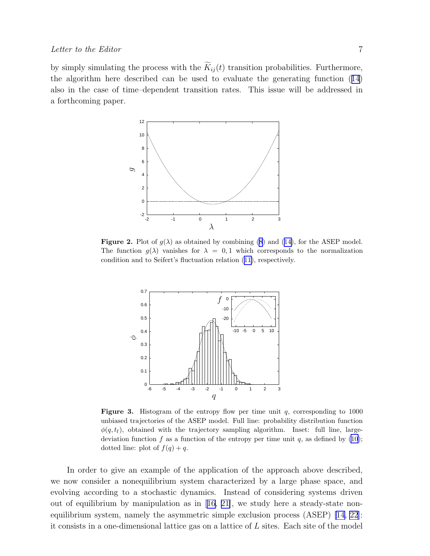<span id="page-6-0"></span>by simply simulating the process with the  $\widetilde{K}_{ij}(t)$  transition probabilities. Furthermore, the algorithm here described can be used to evaluate the generating function([14](#page-5-0)) also in the case of time–dependent transition rates. This issue will be addressed in a forthcoming paper.



**Figure2.** Plot of  $g(\lambda)$  as obtained by combining [\(8](#page-2-0)) and ([14\)](#page-5-0), for the ASEP model. The function  $g(\lambda)$  vanishes for  $\lambda = 0, 1$  which corresponds to the normalization condition and to Seifert's fluctuation relation([11\)](#page-3-0), respectively.



**Figure 3.** Histogram of the entropy flow per time unit  $q$ , corresponding to 1000 unbiased trajectories of the ASEP model. Full line: probability distribution function  $\phi(q, t_f)$ , obtained with the trajectory sampling algorithm. Inset: full line, largedeviation function f as a function of the entropy per time unit q, as defined by  $(10)$ ; dotted line: plot of  $f(q) + q$ .

In order to give an example of the application of the approach above described, we now consider a nonequilibrium system characterized by a large phase space, and evolving according to a stochastic dynamics. Instead of considering systems driven outof equilibrium by manipulation as in  $[16, 21]$  $[16, 21]$ , we study here a steady-state nonequilibrium system, namely the asymmetric simple exclusion process (ASEP) [\[14, 22](#page-9-0)]: it consists in a one-dimensional lattice gas on a lattice of  $L$  sites. Each site of the model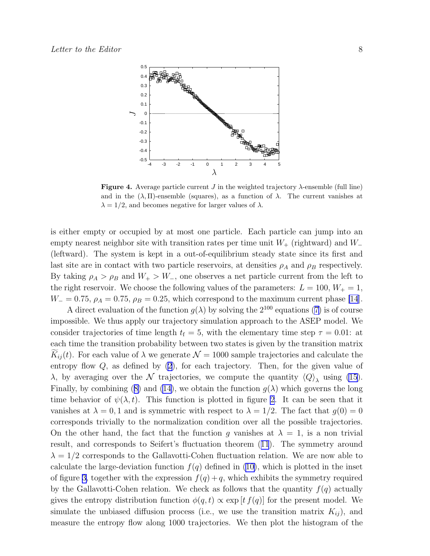<span id="page-7-0"></span>

**Figure 4.** Average particle current  $J$  in the weighted trajectory  $\lambda$ -ensemble (full line) and in the  $(\lambda, \Pi)$ -ensemble (squares), as a function of  $\lambda$ . The current vanishes at  $\lambda = 1/2$ , and becomes negative for larger values of  $\lambda$ .

is either empty or occupied by at most one particle. Each particle can jump into an empty nearest neighbor site with transition rates per time unit  $W_+$  (rightward) and  $W_-$ (leftward). The system is kept in a out-of-equilibrium steady state since its first and last site are in contact with two particle reservoirs, at densities  $\rho_A$  and  $\rho_B$  respectively. By taking  $\rho_A > \rho_B$  and  $W_+ > W_-,$  one observes a net particle current from the left to the right reservoir. We choose the following values of the parameters:  $L = 100, W_+ = 1$ ,  $W_ = 0.75$ ,  $\rho_A = 0.75$ ,  $\rho_B = 0.25$ , which correspond to the maximum current phase [\[14](#page-9-0)].

Adirect evaluation of the function  $g(\lambda)$  by solving the  $2^{100}$  equations ([7\)](#page-2-0) is of course impossible. We thus apply our trajectory simulation approach to the ASEP model. We consider trajectories of time length  $t_f = 5$ , with the elementary time step  $\tau = 0.01$ : at each time the transition probability between two states is given by the transition matrix  $K_{ij}(t)$ . For each value of  $\lambda$  we generate  $\mathcal{N} = 1000$  sample trajectories and calculate the entropy flow  $Q$ , as defined by  $(2)$ , for each trajectory. Then, for the given value of λ, by averaging over the  $\mathcal N$  trajectories, we compute the quantity  $\langle Q \rangle$ <sub>λ</sub> using [\(15](#page-5-0)). Finally,by combining ([8\)](#page-2-0) and [\(14\)](#page-5-0), we obtain the function  $g(\lambda)$  which governs the long time behavior of  $\psi(\lambda, t)$ . This function is plotted in figure [2](#page-6-0). It can be seen that it vanishes at  $\lambda = 0, 1$  and is symmetric with respect to  $\lambda = 1/2$ . The fact that  $g(0) = 0$ corresponds trivially to the normalization condition over all the possible trajectories. On the other hand, the fact that the function g vanishes at  $\lambda = 1$ , is a non trivial result, and corresponds to Seifert's fluctuation theorem([11](#page-3-0)). The symmetry around  $\lambda = 1/2$  corresponds to the Gallavotti-Cohen fluctuation relation. We are now able to calculate the large-deviation function  $f(q)$  defined in [\(10\)](#page-3-0), which is plotted in the inset of figure [3,](#page-6-0) together with the expression  $f(q) + q$ , which exhibits the symmetry required by the Gallavotti-Cohen relation. We check as follows that the quantity  $f(q)$  actually gives the entropy distribution function  $\phi(q, t) \propto \exp[t f(q)]$  for the present model. We simulate the unbiased diffusion process (i.e., we use the transition matrix  $K_{ij}$ ), and measure the entropy flow along 1000 trajectories. We then plot the histogram of the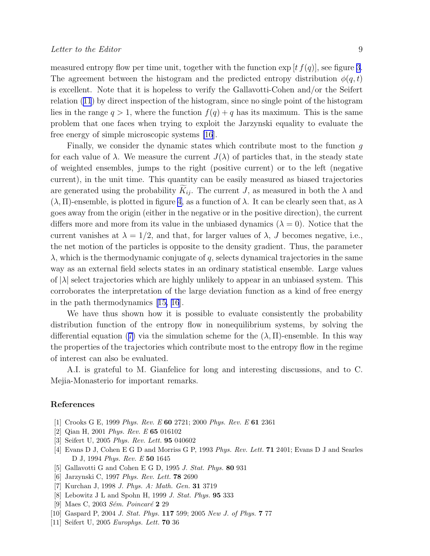<span id="page-8-0"></span>measured entropy flow per time unit, together with the function  $\exp[t f(q)]$ , see figure [3](#page-6-0). The agreement between the histogram and the predicted entropy distribution  $\phi(q, t)$ is excellent. Note that it is hopeless to verify the Gallavotti-Cohen and/or the Seifert relation([11](#page-3-0)) by direct inspection of the histogram, since no single point of the histogram lies in the range  $q > 1$ , where the function  $f(q) + q$  has its maximum. This is the same problem that one faces when trying to exploit the Jarzynski equality to evaluate the free energy of simple microscopic systems [\[16](#page-9-0)].

Finally, we consider the dynamic states which contribute most to the function g for each value of  $\lambda$ . We measure the current  $J(\lambda)$  of particles that, in the steady state of weighted ensembles, jumps to the right (positive current) or to the left (negative current), in the unit time. This quantity can be easily measured as biased trajectories are generated using the probability  $\tilde{K}_{ii}$ . The current J, as measured in both the  $\lambda$  and  $(\lambda, \Pi)$ -ensemble, is plotted in figure [4,](#page-7-0) as a function of  $\lambda$ . It can be clearly seen that, as  $\lambda$ goes away from the origin (either in the negative or in the positive direction), the current differs more and more from its value in the unbiased dynamics  $(\lambda = 0)$ . Notice that the current vanishes at  $\lambda = 1/2$ , and that, for larger values of  $\lambda$ , J becomes negative, i.e., the net motion of the particles is opposite to the density gradient. Thus, the parameter  $\lambda$ , which is the thermodynamic conjugate of q, selects dynamical trajectories in the same way as an external field selects states in an ordinary statistical ensemble. Large values of  $|\lambda|$  select trajectories which are highly unlikely to appear in an unbiased system. This corroborates the interpretation of the large deviation function as a kind of free energy in the path thermodynamics[[15, 16](#page-9-0)].

We have thus shown how it is possible to evaluate consistently the probability distribution function of the entropy flow in nonequilibrium systems, by solving the differentialequation ([7\)](#page-2-0) via the simulation scheme for the  $(\lambda, \Pi)$ -ensemble. In this way the properties of the trajectories which contribute most to the entropy flow in the regime of interest can also be evaluated.

A.I. is grateful to M. Gianfelice for long and interesting discussions, and to C. Mejia-Monasterio for important remarks.

## References

- [1] Crooks G E, 1999 Phys. Rev. E 60 2721; 2000 Phys. Rev. E 61 2361
- [2] Qian H, 2001 Phys. Rev. E 65 016102
- [3] Seifert U, 2005 Phys. Rev. Lett. 95 040602
- [4] Evans D J, Cohen E G D and Morriss G P, 1993 Phys. Rev. Lett. 71 2401; Evans D J and Searles D J, 1994 Phys. Rev. E 50 1645
- [5] Gallavotti G and Cohen E G D, 1995 *J. Stat. Phys.* **80** 931
- [6] Jarzynski C, 1997 Phys. Rev. Lett. 78 2690
- [7] Kurchan J, 1998 J. Phys. A: Math. Gen. 31 3719
- [8] Lebowitz J L and Spohn H, 1999 J. Stat. Phys. 95 333
- [9] Maes C, 2003  $Sém. Poincaré$  2 29
- [10] Gaspard P, 2004 J. Stat. Phys. 117 599; 2005 New J. of Phys. 7 77
- [11] Seifert U, 2005 *Europhys. Lett.* **70** 36